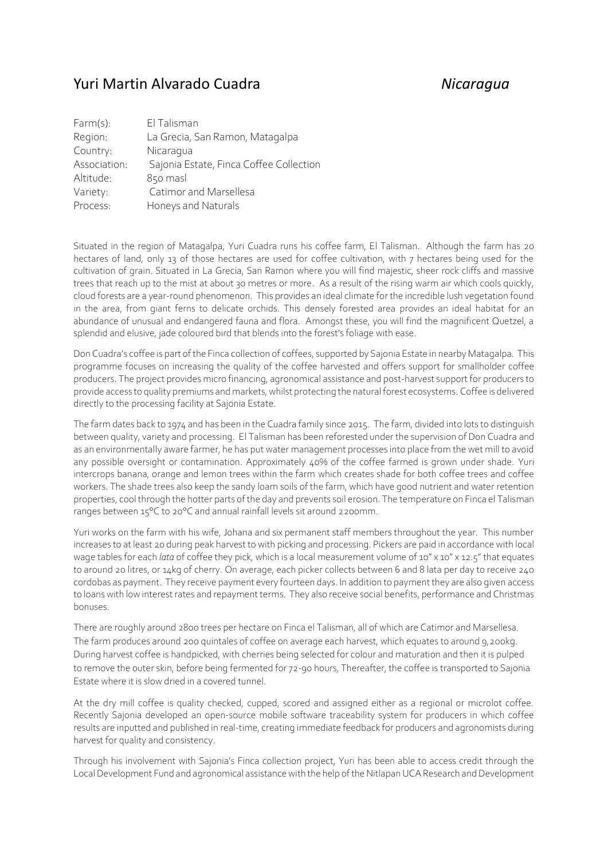## Yuri Martin Alvarado Cuadra *Nicaragua*

| $Farm(s)$ :  | El Talisman                             |
|--------------|-----------------------------------------|
| Region:      | La Grecia, San Ramon, Matagalpa         |
| Country:     | Nicaragua                               |
| Association: | Sajonia Estate, Finca Coffee Collection |
| Altitude:    | 850 masl                                |
| Variety:     | Catimor and Marsellesa                  |
| Process:     | Honeys and Naturals                     |
|              |                                         |

Situated in the region of Matagalpa, Yuri Cuadra runs his coffee farm, El Talisman. Although the farm has 20 hectares of land, only 13 of those hectares are used for coffee cultivation, with 7 hectares being used for the cultivation of grain. Situated in La Grecia, San Ramon where you will find majestic, sheer rock cliffs and massive trees that reach up to the mist at about 30 metres or more. As a result of the rising warm air which cools quickly, cloud forests are a year-round phenomenon. This provides an ideal climate for the incredible lush vegetation found in the area, from giant ferns to delicate orchids. This densely forested area provides an ideal habitat for an abundance of unusual and endangered fauna and flora. Amongst these, you will find the magnificent Quetzel, a splendid and elusive, jade coloured bird that blends into the forest's foliage with ease.

Don Cuadra's coffee is part of the Finca collection of coffees, supported by Sajonia Estate in nearby Matagalpa. This programme focuses on increasing the quality of the coffee harvested and offers support for smallholder coffee producers. The project provides micro financing, agronomical assistance and post-harvest support for producers to provide access to quality premiums and markets, whilst protecting the natural forest ecosystems. Coffee is delivered directly to the processing facility at Sajonia Estate.

The farm dates back to 1974 and has been in the Cuadra family since 2015. The farm, divided into lots to distinguish between quality, variety and processing. El Talisman has been reforested under the supervision of Don Cuadra and as an environmentally aware farmer, he has put water management processes into place from the wet mill to avoid any possible oversight or contamination. Approximately 40% of the coffee farmed is grown under shade. Yuri intercrops banana, orange and lemon trees within the farm which creates shade for both coffee trees and coffee workers. The shade trees also keep the sandy loam soils of the farm, which have good nutrient and water retention properties, cool through the hotter parts of the day and prevents soil erosion. The temperature on Finca el Talisman ranges between 15°C to 20°C and annual rainfall levels sit around 2200mm.

Yuri works on the farm with his wife, Johana and six permanent staff members throughout the year. This number increases to at least 20 during peak harvest to with picking and processing. Pickers are paid in accordance with local wage tables for each *lata* of coffee they pick, which is a local measurement volume of 10" x 10" x 12.5" that equates to around 20 litres, or 14kg of cherry. On average, each picker collects between 6 and 8 lata per day to receive 240 cordobas as payment. They receive payment every fourteen days. In addition to payment they are also given access to loans with low interest rates and repayment terms. They also receive social benefits, performance and Christmas bonuses.

There are roughly around 2800 trees per hectare on Finca el Talisman, all of which are Catimor and Marsellesa. The farm produces around 200 quintales of coffee on average each harvest, which equates to around 9,200kg. During harvest coffee is handpicked, with cherries being selected for colour and maturation and then it is pulped to remove the outer skin, before being fermented for 72-90 hours, Thereafter, the coffee is transported to Sajonia Estate where it is slow dried in a covered tunnel.

At the dry mill coffee is quality checked, cupped, scored and assigned either as a regional or microlot coffee. Recently Sajonia developed an open-source mobile software traceability system for producers in which coffee results are inputted and published in real-time, creating immediate feedback for producers and agronomists during harvest for quality and consistency.

Through his involvement with Sajonia's Finca collection project, Yuri has been able to access credit through the Local Development Fund and agronomical assistance with the help of the Nitlapan UCA Research and Development